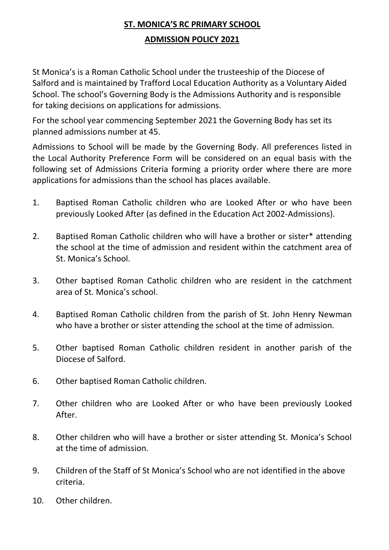## **ST. MONICA'S RC PRIMARY SCHOOL ADMISSION POLICY 2021**

St Monica's is a Roman Catholic School under the trusteeship of the Diocese of Salford and is maintained by Trafford Local Education Authority as a Voluntary Aided School. The school's Governing Body is the Admissions Authority and is responsible for taking decisions on applications for admissions.

For the school year commencing September 2021 the Governing Body has set its planned admissions number at 45.

Admissions to School will be made by the Governing Body. All preferences listed in the Local Authority Preference Form will be considered on an equal basis with the following set of Admissions Criteria forming a priority order where there are more applications for admissions than the school has places available.

- 1. Baptised Roman Catholic children who are Looked After or who have been previously Looked After (as defined in the Education Act 2002-Admissions).
- 2. Baptised Roman Catholic children who will have a brother or sister\* attending the school at the time of admission and resident within the catchment area of St. Monica's School.
- 3. Other baptised Roman Catholic children who are resident in the catchment area of St. Monica's school.
- 4. Baptised Roman Catholic children from the parish of St. John Henry Newman who have a brother or sister attending the school at the time of admission.
- 5. Other baptised Roman Catholic children resident in another parish of the Diocese of Salford.
- 6. Other baptised Roman Catholic children.
- 7. Other children who are Looked After or who have been previously Looked After.
- 8. Other children who will have a brother or sister attending St. Monica's School at the time of admission.
- 9. Children of the Staff of St Monica's School who are not identified in the above criteria.
- 10. Other children.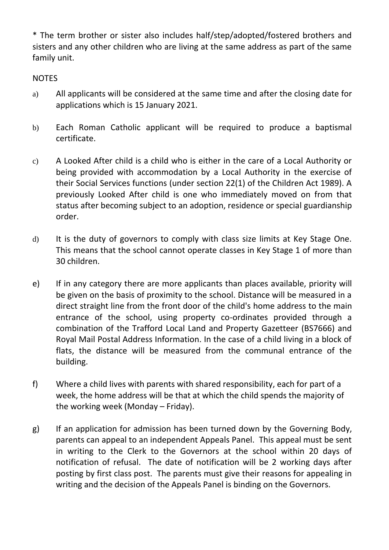\* The term brother or sister also includes half/step/adopted/fostered brothers and sisters and any other children who are living at the same address as part of the same family unit.

**NOTES** 

- a) All applicants will be considered at the same time and after the closing date for applications which is 15 January 2021.
- b) Each Roman Catholic applicant will be required to produce a baptismal certificate.
- c) A Looked After child is a child who is either in the care of a Local Authority or being provided with accommodation by a Local Authority in the exercise of their Social Services functions (under section 22(1) of the Children Act 1989). A previously Looked After child is one who immediately moved on from that status after becoming subject to an adoption, residence or special guardianship order.
- d) It is the duty of governors to comply with class size limits at Key Stage One. This means that the school cannot operate classes in Key Stage 1 of more than 30 children.
- e) If in any category there are more applicants than places available, priority will be given on the basis of proximity to the school. Distance will be measured in a direct straight line from the front door of the child's home address to the main entrance of the school, using property co-ordinates provided through a combination of the Trafford Local Land and Property Gazetteer (BS7666) and Royal Mail Postal Address Information. In the case of a child living in a block of flats, the distance will be measured from the communal entrance of the building.
- f) Where a child lives with parents with shared responsibility, each for part of a week, the home address will be that at which the child spends the majority of the working week (Monday – Friday).
- g) If an application for admission has been turned down by the Governing Body, parents can appeal to an independent Appeals Panel. This appeal must be sent in writing to the Clerk to the Governors at the school within 20 days of notification of refusal. The date of notification will be 2 working days after posting by first class post. The parents must give their reasons for appealing in writing and the decision of the Appeals Panel is binding on the Governors.